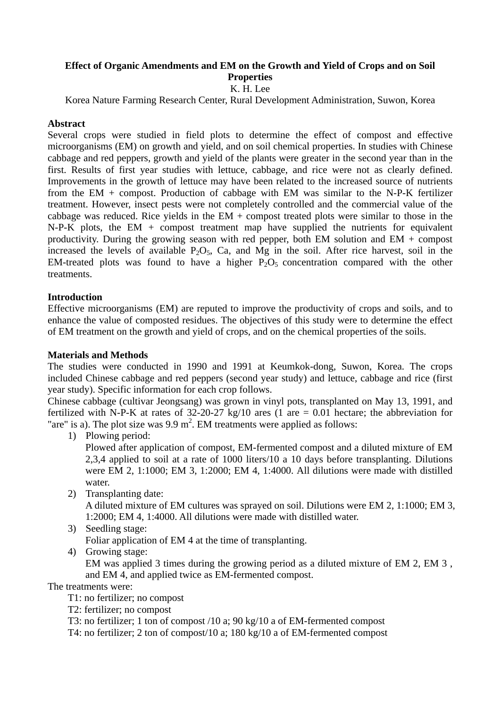# **Effect of Organic Amendments and EM on the Growth and Yield of Crops and on Soil Properties**

# K. H. Lee

Korea Nature Farming Research Center, Rural Development Administration, Suwon, Korea

#### **Abstract**

Several crops were studied in field plots to determine the effect of compost and effective microorganisms (EM) on growth and yield, and on soil chemical properties. In studies with Chinese cabbage and red peppers, growth and yield of the plants were greater in the second year than in the first. Results of first year studies with lettuce, cabbage, and rice were not as clearly defined. Improvements in the growth of lettuce may have been related to the increased source of nutrients from the EM + compost. Production of cabbage with EM was similar to the N-P-K fertilizer treatment. However, insect pests were not completely controlled and the commercial value of the cabbage was reduced. Rice yields in the  $EM$  + compost treated plots were similar to those in the  $N-P-K$  plots, the EM + compost treatment map have supplied the nutrients for equivalent productivity. During the growing season with red pepper, both EM solution and EM + compost increased the levels of available  $P_2O_5$ , Ca, and Mg in the soil. After rice harvest, soil in the EM-treated plots was found to have a higher  $P_2O_5$  concentration compared with the other treatments.

## **Introduction**

Effective microorganisms (EM) are reputed to improve the productivity of crops and soils, and to enhance the value of composted residues. The objectives of this study were to determine the effect of EM treatment on the growth and yield of crops, and on the chemical properties of the soils.

#### **Materials and Methods**

The studies were conducted in 1990 and 1991 at Keumkok-dong, Suwon, Korea. The crops included Chinese cabbage and red peppers (second year study) and lettuce, cabbage and rice (first year study). Specific information for each crop follows.

Chinese cabbage (cultivar Jeongsang) was grown in vinyl pots, transplanted on May 13, 1991, and fertilized with N-P-K at rates of  $32-20-27$  kg/10 ares (1 are  $= 0.01$  hectare; the abbreviation for "are" is a). The plot size was  $9.9 \text{ m}^2$ . EM treatments were applied as follows:

1) Plowing period:

Plowed after application of compost, EM-fermented compost and a diluted mixture of EM 2,3,4 applied to soil at a rate of 1000 liters/10 a 10 days before transplanting. Dilutions were EM 2, 1:1000; EM 3, 1:2000; EM 4, 1:4000. All dilutions were made with distilled water.

2) Transplanting date:

A diluted mixture of EM cultures was sprayed on soil. Dilutions were EM 2, 1:1000; EM 3, 1:2000; EM 4, 1:4000. All dilutions were made with distilled water.

- 3) Seedling stage: Foliar application of EM 4 at the time of transplanting.
- 4) Growing stage:

EM was applied 3 times during the growing period as a diluted mixture of EM 2, EM 3 , and EM 4, and applied twice as EM-fermented compost.

The treatments were:

T1: no fertilizer; no compost

- T2: fertilizer; no compost
- T3: no fertilizer; 1 ton of compost /10 a; 90 kg/10 a of EM-fermented compost

T4: no fertilizer; 2 ton of compost/10 a; 180 kg/10 a of EM-fermented compost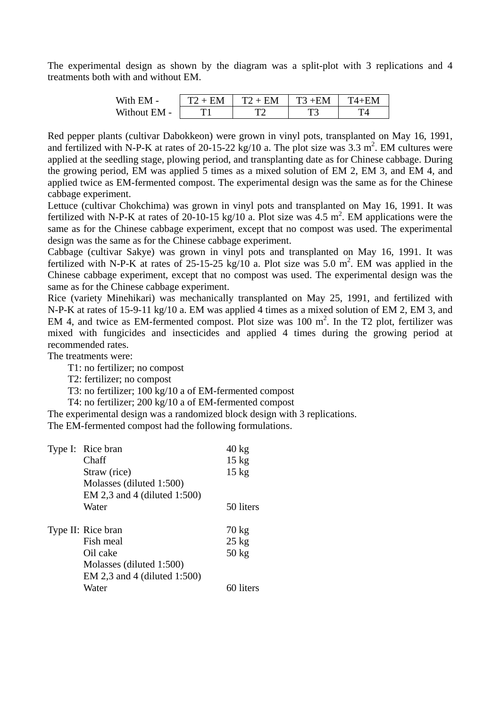The experimental design as shown by the diagram was a split-plot with 3 replications and 4 treatments both with and without EM.

| With EM -    | $+$ FM | $T2 +$<br>EM | $+EM$<br>᠇᠇ | ு⊿⊥ |
|--------------|--------|--------------|-------------|-----|
| Without EM - |        | ᠇᠕           | ᠇           |     |

Red pepper plants (cultivar Dabokkeon) were grown in vinyl pots, transplanted on May 16, 1991, and fertilized with N-P-K at rates of 20-15-22 kg/10 a. The plot size was  $3.3 \text{ m}^2$ . EM cultures were applied at the seedling stage, plowing period, and transplanting date as for Chinese cabbage. During the growing period, EM was applied 5 times as a mixed solution of EM 2, EM 3, and EM 4, and applied twice as EM-fermented compost. The experimental design was the same as for the Chinese cabbage experiment.

Lettuce (cultivar Chokchima) was grown in vinyl pots and transplanted on May 16, 1991. It was fertilized with N-P-K at rates of 20-10-15 kg/10 a. Plot size was  $4.5 \text{ m}^2$ . EM applications were the same as for the Chinese cabbage experiment, except that no compost was used. The experimental design was the same as for the Chinese cabbage experiment.

Cabbage (cultivar Sakye) was grown in vinyl pots and transplanted on May 16, 1991. It was fertilized with N-P-K at rates of 25-15-25 kg/10 a. Plot size was 5.0 m<sup>2</sup>. EM was applied in the Chinese cabbage experiment, except that no compost was used. The experimental design was the same as for the Chinese cabbage experiment.

Rice (variety Minehikari) was mechanically transplanted on May 25, 1991, and fertilized with N-P-K at rates of 15-9-11 kg/10 a. EM was applied 4 times as a mixed solution of EM 2, EM 3, and EM 4, and twice as EM-fermented compost. Plot size was  $100 \text{ m}^2$ . In the T2 plot, fertilizer was mixed with fungicides and insecticides and applied 4 times during the growing period at recommended rates.

The treatments were:

T1: no fertilizer; no compost

T2: fertilizer; no compost

T3: no fertilizer; 100 kg/10 a of EM-fermented compost

T4: no fertilizer; 200 kg/10 a of EM-fermented compost

The experimental design was a randomized block design with 3 replications.

The EM-fermented compost had the following formulations.

| Type I: Rice bran               | $40 \text{ kg}$            |
|---------------------------------|----------------------------|
| Chaff                           | $15 \text{ kg}$            |
| Straw (rice)                    | $15 \text{ kg}$            |
| Molasses (diluted 1:500)        |                            |
| EM 2,3 and 4 (diluted 1:500)    |                            |
| Water                           | 50 liters                  |
|                                 |                            |
|                                 |                            |
| Type II: Rice bran<br>Fish meal | $70 \text{ kg}$            |
| Oil cake                        | $25$ kg<br>$50 \text{ kg}$ |
| Molasses (diluted 1:500)        |                            |
| EM 2,3 and 4 (diluted $1:500$ ) |                            |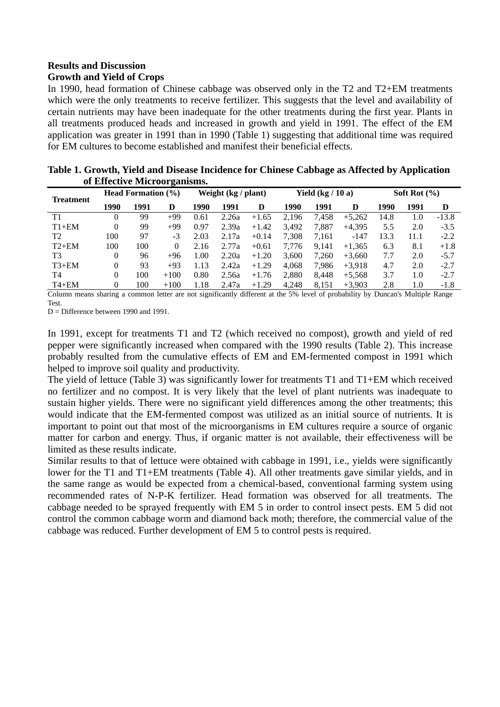# **Results and Discussion**

# **Growth and Yield of Crops**

In 1990, head formation of Chinese cabbage was observed only in the T2 and T2+EM treatments which were the only treatments to receive fertilizer. This suggests that the level and availability of certain nutrients may have been inadequate for the other treatments during the first year. Plants in all treatments produced heads and increased in growth and yield in 1991. The effect of the EM application was greater in 1991 than in 1990 (Table 1) suggesting that additional time was required for EM cultures to become established and manifest their beneficial effects.

|                              | Table 1. Growth, Yield and Disease Incidence for Chinese Cabbage as Affected by Application |
|------------------------------|---------------------------------------------------------------------------------------------|
| of Effective Microorganisms. |                                                                                             |

| <b>Treatment</b> |          | <b>Head Formation</b> $(\% )$ |          | Weight (kg / plant) |       | Yield $(kg/10a)$ |       |       | Soft Rot $(\% )$ |      |      |         |
|------------------|----------|-------------------------------|----------|---------------------|-------|------------------|-------|-------|------------------|------|------|---------|
|                  | 1990     | 1991                          | D        | 1990                | 1991  | D                | 1990  | 1991  | D                | 1990 | 1991 | D       |
| T1               | 0        | 99                            | $+99$    | 0.61                | 2.26a | $+1.65$          | 2,196 | 7,458 | $+5,262$         | 14.8 | 1.0  | $-13.8$ |
| $T1+EM$          | $\Omega$ | 99                            | $+99$    | 0.97                | 2.39a | $+1.42$          | 3.492 | 7.887 | $+4.395$         | 5.5  | 2.0  | $-3.5$  |
| T <sub>2</sub>   | 100      | 97                            | $-3$     | 2.03                | 2.17a | $+0.14$          | 7.308 | 7,161 | $-147$           | 13.3 | 11.1 | $-2.2$  |
| $T2+EM$          | 100      | 100                           | $\Omega$ | 2.16                | 2.77a | $+0.61$          | 7.776 | 9.141 | $+1.365$         | 6.3  | 8.1  | $+1.8$  |
| T3               | $\theta$ | 96                            | $+96$    | 1.00                | 2.20a | $+1.20$          | 3.600 | 7.260 | $+3.660$         | 7.7  | 2.0  | $-5.7$  |
| $T3+EM$          | $\Omega$ | 93                            | $+93$    | 1.13                | 2.42a | $+1.29$          | 4.068 | 7.986 | $+3.918$         | 4.7  | 2.0  | $-2.7$  |
| T4               | $\Omega$ | 100                           | $+100$   | 0.80                | 2.56a | $+1.76$          | 2,880 | 8.448 | $+5,568$         | 3.7  | 1.0  | $-2.7$  |
| $T4+EM$          | $\theta$ | 100                           | $+100$   | 1.18                | 2.47a | $+1.29$          | 4.248 | 8.151 | $+3.903$         | 2.8  | 1.0  | $-1.8$  |

Column means sharing a common letter are not significantly different at the 5% level of probability by Duncan's Multiple Range Test.

 $D =$  Difference between 1990 and 1991.

In 1991, except for treatments T1 and T2 (which received no compost), growth and yield of red pepper were significantly increased when compared with the 1990 results (Table 2). This increase probably resulted from the cumulative effects of EM and EM-fermented compost in 1991 which helped to improve soil quality and productivity.

The yield of lettuce (Table 3) was significantly lower for treatments T1 and T1+EM which received no fertilizer and no compost. It is very likely that the level of plant nutrients was inadequate to sustain higher yields. There were no significant yield differences among the other treatments; this would indicate that the EM-fermented compost was utilized as an initial source of nutrients. It is important to point out that most of the microorganisms in EM cultures require a source of organic matter for carbon and energy. Thus, if organic matter is not available, their effectiveness will be limited as these results indicate.

Similar results to that of lettuce were obtained with cabbage in 1991, i.e., yields were significantly lower for the T1 and T1+EM treatments (Table 4). All other treatments gave similar yields, and in the same range as would be expected from a chemical-based, conventional farming system using recommended rates of N-P-K fertilizer. Head formation was observed for all treatments. The cabbage needed to be sprayed frequently with EM 5 in order to control insect pests. EM 5 did not control the common cabbage worm and diamond back moth; therefore, the commercial value of the cabbage was reduced. Further development of EM 5 to control pests is required.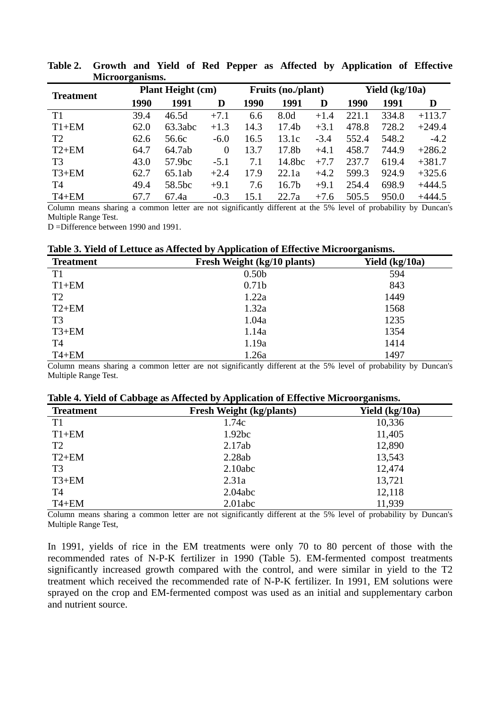|                  | THE OUT PAINTING. |                          |                |      |                    |        |       |                |          |  |
|------------------|-------------------|--------------------------|----------------|------|--------------------|--------|-------|----------------|----------|--|
| <b>Treatment</b> |                   | <b>Plant Height (cm)</b> |                |      | Fruits (no./plant) |        |       | Yield (kg/10a) |          |  |
|                  | 1990              | 1991                     | D              | 1990 | 1991               | D      | 1990  | 1991           | D        |  |
| T1               | 39.4              | 46.5d                    | $+7.1$         | 6.6  | 8.0d               | $+1.4$ | 221.1 | 334.8          | $+113.7$ |  |
| $T1+EM$          | 62.0              | 63.3abc                  | $+1.3$         | 14.3 | 17.4 <sub>b</sub>  | $+3.1$ | 478.8 | 728.2          | $+249.4$ |  |
| T <sub>2</sub>   | 62.6              | 56.6c                    | $-6.0$         | 16.5 | 13.1c              | $-3.4$ | 552.4 | 548.2          | $-4.2$   |  |
| $T2+EM$          | 64.7              | 64.7ab                   | $\overline{0}$ | 13.7 | 17.8b              | $+4.1$ | 458.7 | 744.9          | $+286.2$ |  |
| T <sub>3</sub>   | 43.0              | 57.9bc                   | $-5.1$         | 7.1  | 14.8bc             | $+7.7$ | 237.7 | 619.4          | $+381.7$ |  |
| $T3+EM$          | 62.7              | 65.1ab                   | $+2.4$         | 17.9 | 22.1a              | $+4.2$ | 599.3 | 924.9          | $+325.6$ |  |
| T4               | 49.4              | 58.5bc                   | $+9.1$         | 7.6  | 16.7 <sub>b</sub>  | $+9.1$ | 254.4 | 698.9          | $+444.5$ |  |
| $T4+EM$          | 67.7              | 67.4a                    | $-0.3$         | 15.1 | 22.7a              | $+7.6$ | 505.5 | 950.0          | $+444.5$ |  |

**Table 2. Growth and Yield of Red Pepper as Affected by Application of Effective Microorganisms.** 

Column means sharing a common letter are not significantly different at the 5% level of probability by Duncan's Multiple Range Test.

D =Difference between 1990 and 1991.

|  | Table 3. Yield of Lettuce as Affected by Application of Effective Microorganisms. |  |  |  |
|--|-----------------------------------------------------------------------------------|--|--|--|
|  |                                                                                   |  |  |  |

| <b>Treatment</b> | Fresh Weight (kg/10 plants) | Yield $(kg/10a)$ |
|------------------|-----------------------------|------------------|
| T1               | 0.50 <sub>b</sub>           | 594              |
| $T1+EM$          | 0.71 <sub>b</sub>           | 843              |
| T <sub>2</sub>   | 1.22a                       | 1449             |
| $T2+EM$          | 1.32a                       | 1568             |
| T <sub>3</sub>   | 1.04a                       | 1235             |
| $T3+EM$          | 1.14a                       | 1354             |
| T <sub>4</sub>   | 1.19a                       | 1414             |
| $T4 + EM$        | 1.26a                       | 1497             |

Column means sharing a common letter are not significantly different at the 5% level of probability by Duncan's Multiple Range Test.

|  |  |  | Table 4. Yield of Cabbage as Affected by Application of Effective Microorganisms. |
|--|--|--|-----------------------------------------------------------------------------------|
|  |  |  |                                                                                   |

| <b>Treatment</b> | $\overline{\phantom{a}}$<br><b>Fresh Weight (kg/plants)</b> | $\overline{\phantom{0}}$<br>Yield $(kg/10a)$ |
|------------------|-------------------------------------------------------------|----------------------------------------------|
| T <sub>1</sub>   | 1.74c                                                       | 10,336                                       |
| $T1+EM$          | 1.92bc                                                      | 11,405                                       |
| T <sub>2</sub>   | 2.17ab                                                      | 12,890                                       |
| $T2+EM$          | 2.28ab                                                      | 13,543                                       |
| T <sub>3</sub>   | 2.10abc                                                     | 12,474                                       |
| $T3+EM$          | 2.31a                                                       | 13,721                                       |
| <b>T4</b>        | 2.04abc                                                     | 12,118                                       |
| $T4+EM$          | 2.01abc                                                     | 11,939                                       |

Column means sharing a common letter are not significantly different at the 5% level of probability by Duncan's Multiple Range Test,

In 1991, yields of rice in the EM treatments were only 70 to 80 percent of those with the recommended rates of N-P-K fertilizer in 1990 (Table 5). EM-fermented compost treatments significantly increased growth compared with the control, and were similar in yield to the T2 treatment which received the recommended rate of N-P-K fertilizer. In 1991, EM solutions were sprayed on the crop and EM-fermented compost was used as an initial and supplementary carbon and nutrient source.